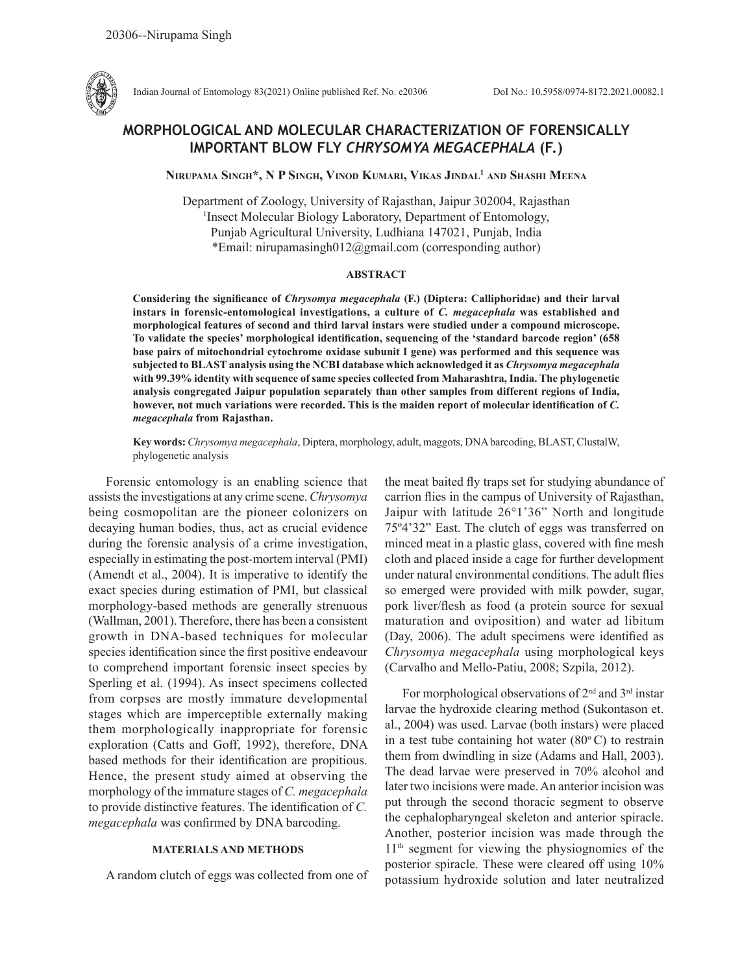

Indian Journal of Entomology 83(2021) Online published Ref. No. e20306 DoI No.: 10.5958/0974-8172.2021.00082.1

# **MORPHOLOGICAL AND MOLECULAR CHARACTERIZATION OF FORENSICALLY IMPORTANT BLOW FLY** *CHRYSOMYA MEGACEPHALA* **(F.)**

**Nirupama Singh\*, N P Singh, Vinod Kumari, Vikas Jindal1 and Shashi Meena**

Department of Zoology, University of Rajasthan, Jaipur 302004, Rajasthan 1 Insect Molecular Biology Laboratory, Department of Entomology, Punjab Agricultural University, Ludhiana 147021, Punjab, India \*Email: nirupamasingh012@gmail.com (corresponding author)

#### **ABSTRACT**

**Considering the significance of** *Chrysomya megacephala* **(F.) (Diptera: Calliphoridae) and their larval instars in forensic-entomological investigations, a culture of** *C. megacephala* **was established and morphological features of second and third larval instars were studied under a compound microscope. To validate the species' morphological identification, sequencing of the 'standard barcode region' (658 base pairs of mitochondrial cytochrome oxidase subunit I gene) was performed and this sequence was subjected to BLAST analysis using the NCBI database which acknowledged it as** *Chrysomya megacephala* **with 99.39% identity with sequence of same species collected from Maharashtra, India. The phylogenetic analysis congregated Jaipur population separately than other samples from different regions of India, however, not much variations were recorded. This is the maiden report of molecular identification of** *C. megacephala* **from Rajasthan.**

**Key words:** *Chrysomya megacephala*, Diptera, morphology, adult, maggots, DNA barcoding, BLAST, ClustalW, phylogenetic analysis

Forensic entomology is an enabling science that assists the investigations at any crime scene. *Chrysomya*  being cosmopolitan are the pioneer colonizers on decaying human bodies, thus, act as crucial evidence during the forensic analysis of a crime investigation, especially in estimating the post-mortem interval (PMI) (Amendt et al., 2004). It is imperative to identify the exact species during estimation of PMI, but classical morphology-based methods are generally strenuous (Wallman, 2001). Therefore, there has been a consistent growth in DNA-based techniques for molecular species identification since the first positive endeavour to comprehend important forensic insect species by Sperling et al. (1994). As insect specimens collected from corpses are mostly immature developmental stages which are imperceptible externally making them morphologically inappropriate for forensic exploration (Catts and Goff, 1992), therefore, DNA based methods for their identification are propitious. Hence, the present study aimed at observing the morphology of the immature stages of *C. megacephala*  to provide distinctive features. The identification of *C. megacephala* was confirmed by DNA barcoding.

## **MATERIALS AND METHODS**

A random clutch of eggs was collected from one of

the meat baited fly traps set for studying abundance of carrion flies in the campus of University of Rajasthan, Jaipur with latitude 26°1'36" North and longitude 75º4'32" East. The clutch of eggs was transferred on minced meat in a plastic glass, covered with fine mesh cloth and placed inside a cage for further development under natural environmental conditions. The adult flies so emerged were provided with milk powder, sugar, pork liver/flesh as food (a protein source for sexual maturation and oviposition) and water ad libitum (Day, 2006). The adult specimens were identified as *Chrysomya megacephala* using morphological keys (Carvalho and Mello-Patiu, 2008; Szpila, 2012).

For morphological observations of  $2<sup>nd</sup>$  and  $3<sup>rd</sup>$  instar larvae the hydroxide clearing method (Sukontason et. al., 2004) was used. Larvae (both instars) were placed in a test tube containing hot water  $(80^{\circ} \text{C})$  to restrain them from dwindling in size (Adams and Hall, 2003). The dead larvae were preserved in 70% alcohol and later two incisions were made. An anterior incision was put through the second thoracic segment to observe the cephalopharyngeal skeleton and anterior spiracle. Another, posterior incision was made through the 11<sup>th</sup> segment for viewing the physiognomies of the posterior spiracle. These were cleared off using 10% potassium hydroxide solution and later neutralized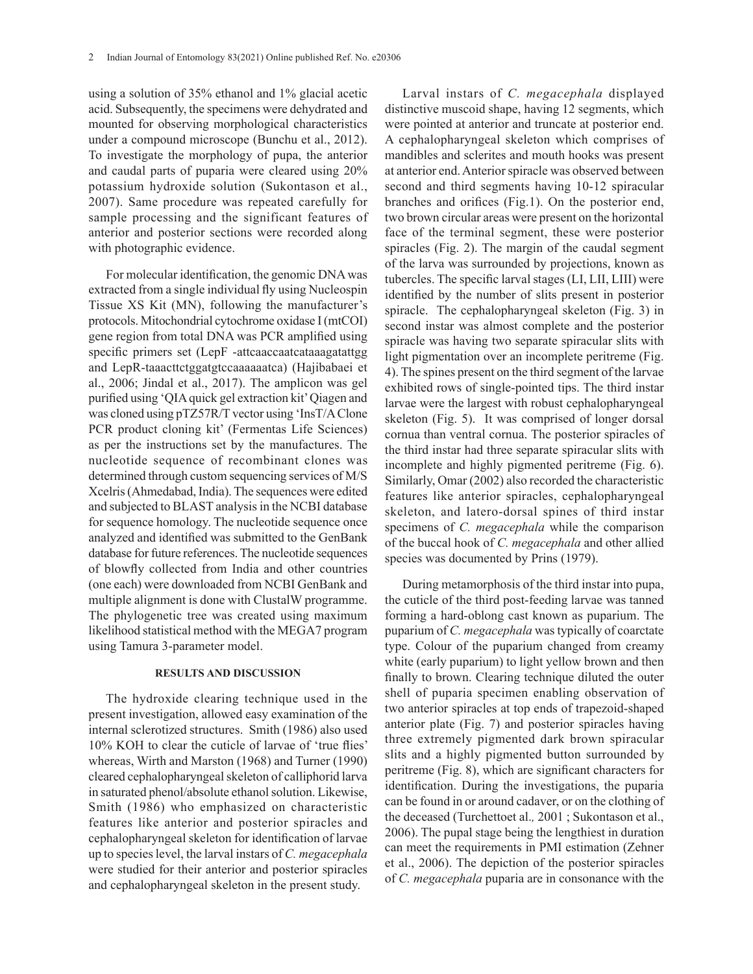using a solution of 35% ethanol and 1% glacial acetic acid. Subsequently, the specimens were dehydrated and mounted for observing morphological characteristics under a compound microscope (Bunchu et al., 2012). To investigate the morphology of pupa, the anterior and caudal parts of puparia were cleared using 20% potassium hydroxide solution (Sukontason et al., 2007). Same procedure was repeated carefully for sample processing and the significant features of anterior and posterior sections were recorded along with photographic evidence.

For molecular identification, the genomic DNA was extracted from a single individual fly using Nucleospin Tissue XS Kit (MN), following the manufacturer's protocols. Mitochondrial cytochrome oxidase I (mtCOI) gene region from total DNA was PCR amplified using specific primers set (LepF -attcaaccaatcataaagatattgg and LepR-taaacttctggatgtccaaaaaatca) (Hajibabaei et al., 2006; Jindal et al., 2017). The amplicon was gel purified using 'QIA quick gel extraction kit' Qiagen and was cloned using pTZ57R/T vector using 'InsT/A Clone PCR product cloning kit' (Fermentas Life Sciences) as per the instructions set by the manufactures. The nucleotide sequence of recombinant clones was determined through custom sequencing services of M/S Xcelris (Ahmedabad, India). The sequences were edited and subjected to BLAST analysis in the NCBI database for sequence homology. The nucleotide sequence once analyzed and identified was submitted to the GenBank database for future references. The nucleotide sequences of blowfly collected from India and other countries (one each) were downloaded from NCBI GenBank and multiple alignment is done with ClustalW programme. The phylogenetic tree was created using maximum likelihood statistical method with the MEGA7 program using Tamura 3-parameter model.

#### **RESULTS AND DISCUSSION**

The hydroxide clearing technique used in the present investigation, allowed easy examination of the internal sclerotized structures. Smith (1986) also used 10% KOH to clear the cuticle of larvae of 'true flies' whereas, Wirth and Marston (1968) and Turner (1990) cleared cephalopharyngeal skeleton of calliphorid larva in saturated phenol/absolute ethanol solution. Likewise, Smith (1986) who emphasized on characteristic features like anterior and posterior spiracles and cephalopharyngeal skeleton for identification of larvae up to species level, the larval instars of *C. megacephala*  were studied for their anterior and posterior spiracles and cephalopharyngeal skeleton in the present study.

Larval instars of *C. megacephala* displayed distinctive muscoid shape, having 12 segments, which were pointed at anterior and truncate at posterior end. A cephalopharyngeal skeleton which comprises of mandibles and sclerites and mouth hooks was present at anterior end. Anterior spiracle was observed between second and third segments having 10-12 spiracular branches and orifices (Fig.1). On the posterior end, two brown circular areas were present on the horizontal face of the terminal segment, these were posterior spiracles (Fig. 2). The margin of the caudal segment of the larva was surrounded by projections, known as tubercles. The specific larval stages (LI, LII, LIII) were identified by the number of slits present in posterior spiracle. The cephalopharyngeal skeleton (Fig. 3) in second instar was almost complete and the posterior spiracle was having two separate spiracular slits with light pigmentation over an incomplete peritreme (Fig. 4). The spines present on the third segment of the larvae exhibited rows of single-pointed tips. The third instar larvae were the largest with robust cephalopharyngeal skeleton (Fig. 5). It was comprised of longer dorsal cornua than ventral cornua. The posterior spiracles of the third instar had three separate spiracular slits with incomplete and highly pigmented peritreme (Fig. 6). Similarly, Omar (2002) also recorded the characteristic features like anterior spiracles, cephalopharyngeal skeleton, and latero-dorsal spines of third instar specimens of *C. megacephala* while the comparison of the buccal hook of *C. megacephala* and other allied species was documented by Prins (1979).

During metamorphosis of the third instar into pupa, the cuticle of the third post-feeding larvae was tanned forming a hard-oblong cast known as puparium. The puparium of *C. megacephala* was typically of coarctate type. Colour of the puparium changed from creamy white (early puparium) to light yellow brown and then finally to brown. Clearing technique diluted the outer shell of puparia specimen enabling observation of two anterior spiracles at top ends of trapezoid-shaped anterior plate (Fig. 7) and posterior spiracles having three extremely pigmented dark brown spiracular slits and a highly pigmented button surrounded by peritreme (Fig. 8), which are significant characters for identification. During the investigations, the puparia can be found in or around cadaver, or on the clothing of the deceased (Turchettoet al.*,* 2001 ; Sukontason et al., 2006). The pupal stage being the lengthiest in duration can meet the requirements in PMI estimation (Zehner et al., 2006). The depiction of the posterior spiracles of *C. megacephala* puparia are in consonance with the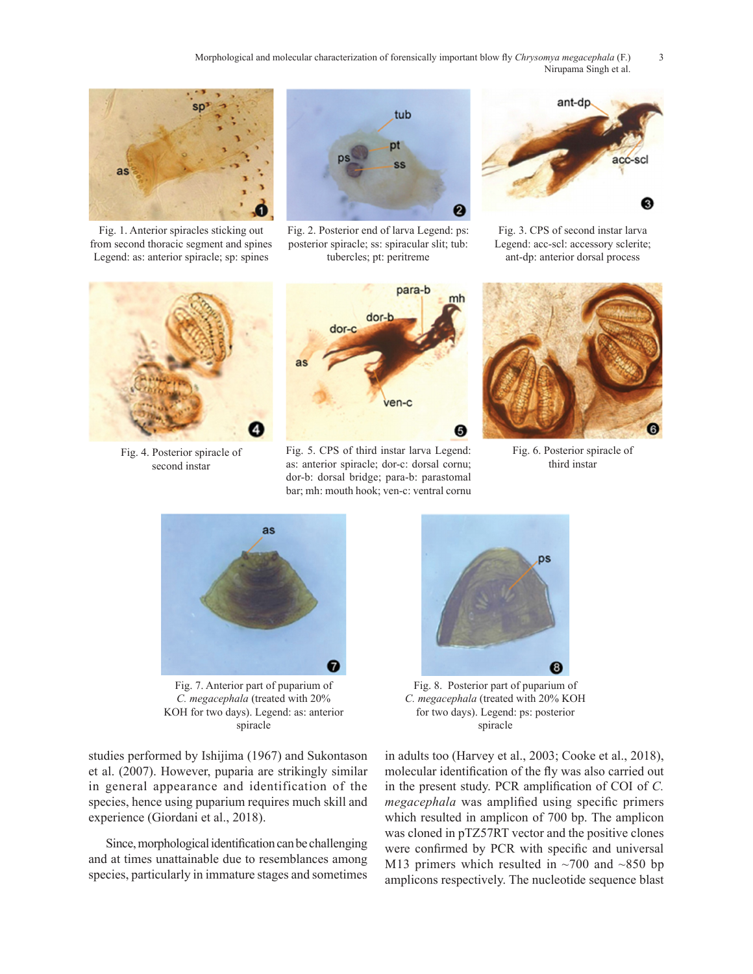Morphological and molecular characterization of forensically important blow fly *Chrysomya megacephala* (F.) 3 Nirupama Singh et al.



Fig. 1. Anterior spiracles sticking out from second thoracic segment and spines Legend: as: anterior spiracle; sp: spines



Fig. 2. Posterior end of larva Legend: ps: posterior spiracle; ss: spiracular slit; tub: tubercles; pt: peritreme



Fig. 3. CPS of second instar larva Legend: acc-scl: accessory sclerite; ant-dp: anterior dorsal process



Fig. 4. Posterior spiracle of second instar



Fig. 5. CPS of third instar larva Legend: as: anterior spiracle; dor-c: dorsal cornu; dor-b: dorsal bridge; para-b: parastomal bar; mh: mouth hook; ven-c: ventral cornu



Fig. 6. Posterior spiracle of third instar



Fig. 7. Anterior part of puparium of *C. megacephala* (treated with 20% KOH for two days). Legend: as: anterior spiracle

studies performed by Ishijima (1967) and Sukontason et al. (2007). However, puparia are strikingly similar in general appearance and identification of the species, hence using puparium requires much skill and experience (Giordani et al., 2018).

Since, morphological identification can be challenging and at times unattainable due to resemblances among species, particularly in immature stages and sometimes



*C. megacephala* (treated with 20% KOH for two days). Legend: ps: posterior spiracle

in adults too (Harvey et al., 2003; Cooke et al., 2018), molecular identification of the fly was also carried out in the present study. PCR amplification of COI of *C. megacephala* was amplified using specific primers which resulted in amplicon of 700 bp. The amplicon was cloned in pTZ57RT vector and the positive clones were confirmed by PCR with specific and universal M13 primers which resulted in  $\sim$ 700 and  $\sim$ 850 bp amplicons respectively. The nucleotide sequence blast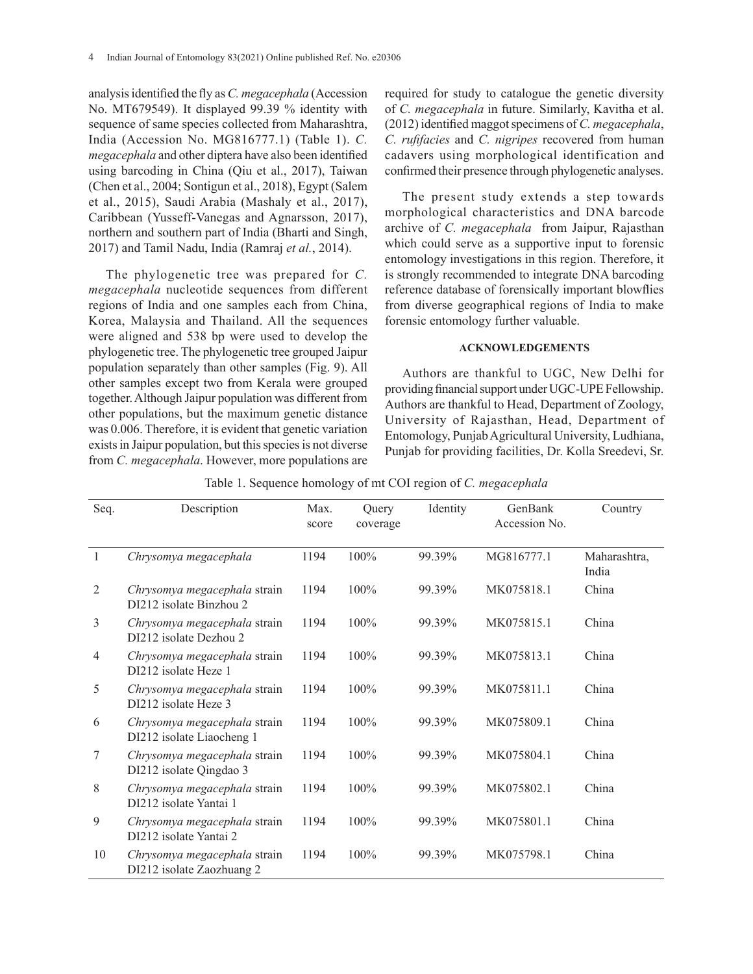analysis identified the fly as *C. megacephala* (Accession No. MT679549). It displayed 99.39 % identity with sequence of same species collected from Maharashtra, India (Accession No. MG816777.1) (Table 1). *C. megacephala* and other diptera have also been identified using barcoding in China (Qiu et al., 2017), Taiwan (Chen et al., 2004; Sontigun et al., 2018), Egypt (Salem et al., 2015), Saudi Arabia (Mashaly et al., 2017), Caribbean (Yusseff-Vanegas and Agnarsson, 2017), northern and southern part of India (Bharti and Singh, 2017) and Tamil Nadu, India (Ramraj *et al.*, 2014).

The phylogenetic tree was prepared for *C. megacephala* nucleotide sequences from different regions of India and one samples each from China, Korea, Malaysia and Thailand. All the sequences were aligned and 538 bp were used to develop the phylogenetic tree. The phylogenetic tree grouped Jaipur population separately than other samples (Fig. 9). All other samples except two from Kerala were grouped together. Although Jaipur population was different from other populations, but the maximum genetic distance was 0.006. Therefore, it is evident that genetic variation exists in Jaipur population, but this species is not diverse from *C. megacephala*. However, more populations are

required for study to catalogue the genetic diversity of *C. megacephala* in future. Similarly, Kavitha et al. (2012) identified maggot specimens of *C. megacephala*, *C. rufifacies* and *C. nigripes* recovered from human cadavers using morphological identification and confirmed their presence through phylogenetic analyses.

The present study extends a step towards morphological characteristics and DNA barcode archive of *C. megacephala* from Jaipur, Rajasthan which could serve as a supportive input to forensic entomology investigations in this region. Therefore, it is strongly recommended to integrate DNA barcoding reference database of forensically important blowflies from diverse geographical regions of India to make forensic entomology further valuable.

### **ACKNOWLEDGEMENTS**

Authors are thankful to UGC, New Delhi for providing financial support under UGC-UPE Fellowship. Authors are thankful to Head, Department of Zoology, University of Rajasthan, Head, Department of Entomology, Punjab Agricultural University, Ludhiana, Punjab for providing facilities, Dr. Kolla Sreedevi, Sr.

|  |  | Table 1. Sequence homology of mt COI region of C. megacephala |
|--|--|---------------------------------------------------------------|
|  |  |                                                               |

| Seq.         | Description                                               | Max.<br>score | Query<br>coverage | Identity | GenBank<br>Accession No. | Country               |
|--------------|-----------------------------------------------------------|---------------|-------------------|----------|--------------------------|-----------------------|
| $\mathbf{1}$ | Chrysomya megacephala                                     | 1194          | 100%              | 99.39%   | MG816777.1               | Maharashtra,<br>India |
| 2            | Chrysomya megacephala strain<br>DI212 isolate Binzhou 2   | 1194          | $100\%$           | 99.39%   | MK075818.1               | China                 |
| 3            | Chrysomya megacephala strain<br>DI212 isolate Dezhou 2    | 1194          | $100\%$           | 99.39%   | MK075815.1               | China                 |
| 4            | Chrysomya megacephala strain<br>DI212 isolate Heze 1      | 1194          | 100%              | 99.39%   | MK075813.1               | China                 |
| 5            | Chrysomya megacephala strain<br>DI212 isolate Heze 3      | 1194          | $100\%$           | 99.39%   | MK075811.1               | China                 |
| 6            | Chrysomya megacephala strain<br>DI212 isolate Liaocheng 1 | 1194          | $100\%$           | 99.39%   | MK075809.1               | China                 |
| 7            | Chrysomya megacephala strain<br>DI212 isolate Qingdao 3   | 1194          | 100%              | 99.39%   | MK075804.1               | China                 |
| 8            | Chrysomya megacephala strain<br>DI212 isolate Yantai 1    | 1194          | 100%              | 99.39%   | MK075802.1               | China                 |
| 9            | Chrysomya megacephala strain<br>DI212 isolate Yantai 2    | 1194          | 100%              | 99.39%   | MK075801.1               | China                 |
| 10           | Chrysomya megacephala strain<br>DI212 isolate Zaozhuang 2 | 1194          | $100\%$           | 99.39%   | MK075798.1               | China                 |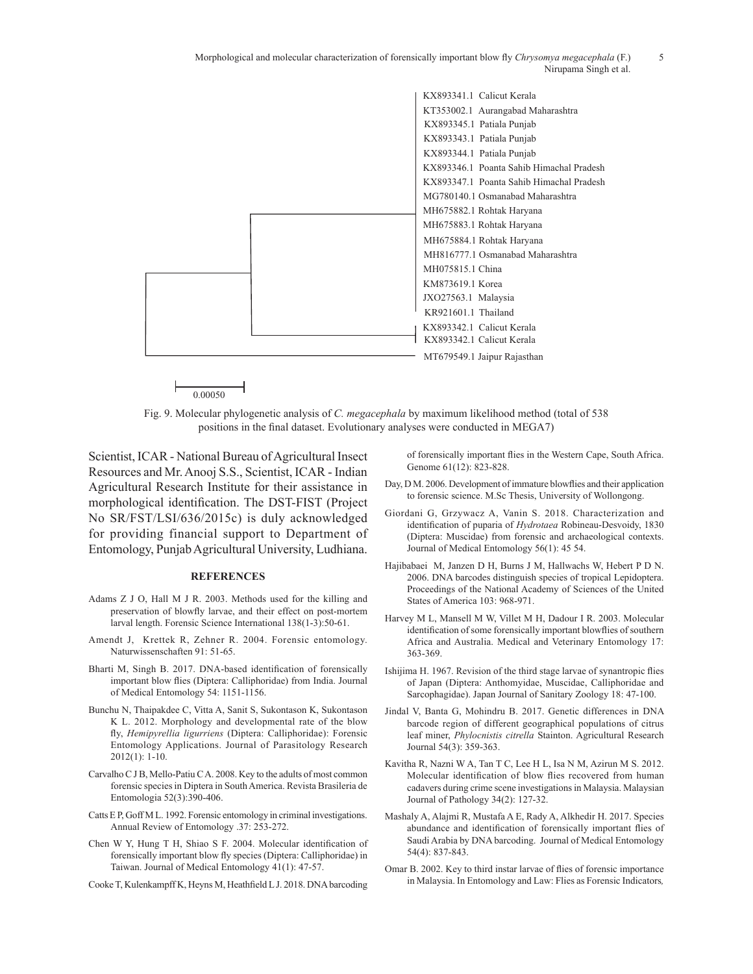Morphological and molecular characterization of forensically important blow fly *Chrysomya megacephala* (F.) 5 Nirupama Singh et al.



Fig. 9. Molecular phylogenetic analysis of *C. megacephala* by maximum likelihood method (total of 538 positions in the final dataset. Evolutionary analyses were conducted in MEGA7)

Scientist, ICAR - National Bureau of Agricultural Insect Resources and Mr. Anooj S.S., Scientist, ICAR - Indian Agricultural Research Institute for their assistance in morphological identification. The DST-FIST (Project No SR/FST/LSI/636/2015c) is duly acknowledged for providing financial support to Department of Entomology, Punjab Agricultural University, Ludhiana.

#### **REFERENCES**

- Adams Z J O, Hall M J R. 2003. Methods used for the killing and preservation of blowfly larvae, and their effect on post-mortem larval length. Forensic Science International 138(1-3):50-61.
- Amendt J, Krettek R, Zehner R. 2004. Forensic entomology. Naturwissenschaften 91: 51-65.
- Bharti M, Singh B. 2017. DNA-based identification of forensically important blow flies (Diptera: Calliphoridae) from India. Journal of Medical Entomology 54: 1151-1156.
- Bunchu N, Thaipakdee C, Vitta A, Sanit S, Sukontason K, Sukontason K L. 2012. Morphology and developmental rate of the blow fly, *Hemipyrellia ligurriens* (Diptera: Calliphoridae): Forensic Entomology Applications. Journal of Parasitology Research 2012(1): 1-10.
- Carvalho C J B, Mello-Patiu C A. 2008. Key to the adults of most common forensic species in Diptera in South America. Revista Brasileria de Entomologia 52(3):390-406.
- Catts E P, Goff M L. 1992. Forensic entomology in criminal investigations. Annual Review of Entomology .37: 253-272.
- Chen W Y, Hung T H, Shiao S F. 2004. Molecular identification of forensically important blow fly species (Diptera: Calliphoridae) in Taiwan. Journal of Medical Entomology 41(1): 47-57.
- Cooke T, Kulenkampff K, Heyns M, Heathfield L J. 2018. DNA barcoding

of forensically important flies in the Western Cape, South Africa. Genome 61(12): 823-828.

- Day, D M. 2006. Development of immature blowflies and their application to forensic science. M.Sc Thesis, University of Wollongong.
- Giordani G, Grzywacz A, Vanin S. 2018. Characterization and identification of puparia of *Hydrotaea* Robineau-Desvoidy, 1830 (Diptera: Muscidae) from forensic and archaeological contexts. Journal of Medical Entomology 56(1): 45 54.
- Hajibabaei M, Janzen D H, Burns J M, Hallwachs W, Hebert P D N. 2006. DNA barcodes distinguish species of tropical Lepidoptera. Proceedings of the National Academy of Sciences of the United States of America 103: 968-971.
- Harvey M L, Mansell M W, Villet M H, Dadour I R. 2003. Molecular identification of some forensically important blowflies of southern Africa and Australia. Medical and Veterinary Entomology 17: 363-369.
- Ishijima H. 1967. Revision of the third stage larvae of synantropic flies of Japan (Diptera: Anthomyidae, Muscidae, Calliphoridae and Sarcophagidae). Japan Journal of Sanitary Zoology 18: 47-100.
- Jindal V, Banta G, Mohindru B. 2017. Genetic differences in DNA barcode region of different geographical populations of citrus leaf miner, *Phylocnistis citrella* Stainton. Agricultural Research Journal 54(3): 359-363.
- Kavitha R, Nazni W A, Tan T C, Lee H L, Isa N M, Azirun M S. 2012. Molecular identification of blow flies recovered from human cadavers during crime scene investigations in Malaysia. Malaysian Journal of Pathology 34(2): 127-32.
- Mashaly A, Alajmi R, Mustafa A E, Rady A, Alkhedir H. 2017. Species abundance and identification of forensically important flies of Saudi Arabia by DNA barcoding. Journal of Medical Entomology 54(4): 837-843.
- Omar B. 2002. Key to third instar larvae of flies of forensic importance in Malaysia. In Entomology and Law: Flies as Forensic Indicators*,*